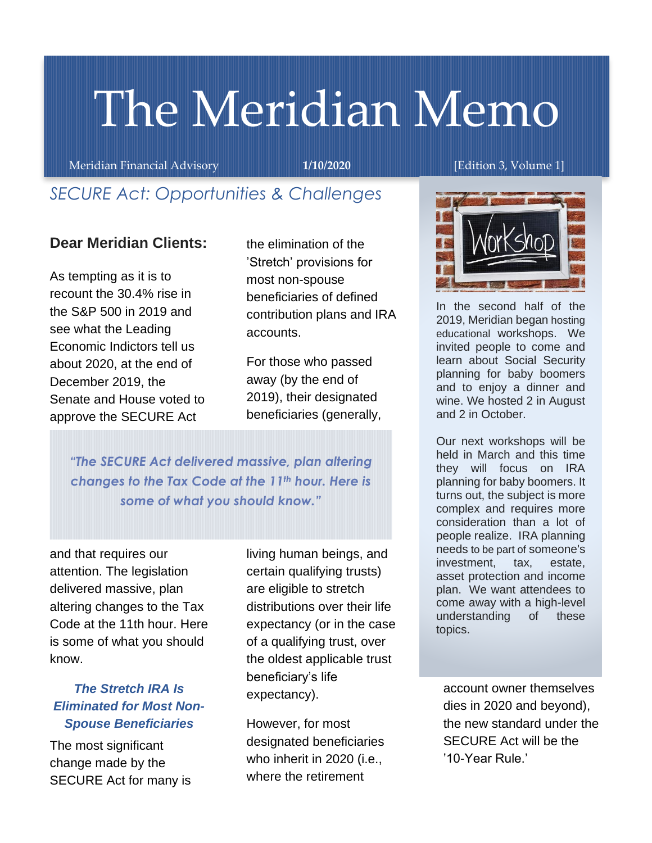# The Meridian Memo

Meridian Financial Advisory **1/10/2020** [Edition 3, Volume 1]

## *SECURE Act: Opportunities & Challenges*

#### **Dear Meridian Clients:**

As tempting as it is to recount the 30.4% rise in the S&P 500 in 2019 and see what the Leading Economic Indictors tell us about 2020, at the end of December 2019, the Senate and House voted to approve the SECURE Act

the elimination of the 'Stretch' provisions for most non-spouse beneficiaries of defined contribution plans and IRA accounts.

For those who passed away (by the end of 2019), their designated beneficiaries (generally,

*"The SECURE Act delivered massive, plan altering changes to the Tax Code at the 11th hour. Here is some of what you should know."*

and that requires our attention. The legislation delivered massive, plan altering changes to the Tax Code at the 11th hour. Here is some of what you should know.

#### *The Stretch IRA Is Eliminated for Most Non-Spouse Beneficiaries*

The most significant change made by the SECURE Act for many is

living human beings, and certain qualifying trusts) are eligible to stretch distributions over their life expectancy (or in the case of a qualifying trust, over the oldest applicable trust beneficiary's life expectancy).

However, for most designated beneficiaries who inherit in 2020 (i.e., where the retirement



In the second half of the 2019, Meridian began hosting educational workshops. We invited people to come and learn about Social Security planning for baby boomers and to enjoy a dinner and wine. We hosted 2 in August and 2 in October.

Our next workshops will be held in March and this time they will focus on IRA planning for baby boomers. It turns out, the subject is more complex and requires more consideration than a lot of people realize. IRA planning needs to be part of someone's investment, tax, estate, asset protection and income plan. We want attendees to come away with a high-level understanding of these topics.

account owner themselves dies in 2020 and beyond), the new standard under the SECURE Act will be the '10-Year Rule.'